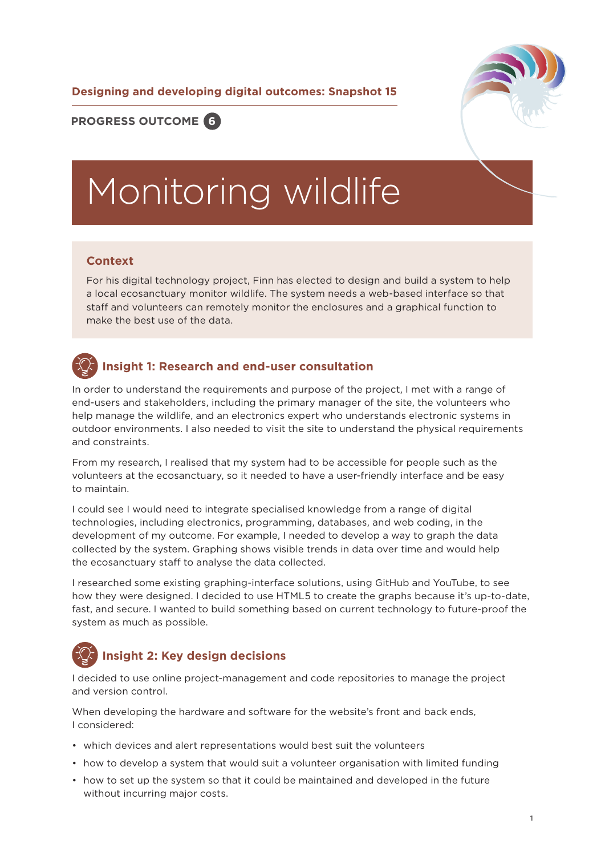**Designing and developing digital outcomes: Snapshot 15**



### **PROGRESS OUTCOME 6**

# Monitoring wildlife

#### **Context**

For his digital technology project, Finn has elected to design and build a system to help a local ecosanctuary monitor wildlife. The system needs a web-based interface so that staff and volunteers can remotely monitor the enclosures and a graphical function to make the best use of the data.

## **Insight 1: Research and end-user consultation**

In order to understand the requirements and purpose of the project, I met with a range of end-users and stakeholders, including the primary manager of the site, the volunteers who help manage the wildlife, and an electronics expert who understands electronic systems in outdoor environments. I also needed to visit the site to understand the physical requirements and constraints.

From my research, I realised that my system had to be accessible for people such as the volunteers at the ecosanctuary, so it needed to have a user-friendly interface and be easy to maintain.

I could see I would need to integrate specialised knowledge from a range of digital technologies, including electronics, programming, databases, and web coding, in the development of my outcome. For example, I needed to develop a way to graph the data collected by the system. Graphing shows visible trends in data over time and would help the ecosanctuary staff to analyse the data collected.

I researched some existing graphing-interface solutions, using GitHub and YouTube, to see how they were designed. I decided to use HTML5 to create the graphs because it's up-to-date, fast, and secure. I wanted to build something based on current technology to future-proof the system as much as possible.

# **Insight 2: Key design decisions**

I decided to use online project-management and code repositories to manage the project and version control.

When developing the hardware and software for the website's front and back ends, I considered:

- which devices and alert representations would best suit the volunteers
- how to develop a system that would suit a volunteer organisation with limited funding
- how to set up the system so that it could be maintained and developed in the future without incurring major costs.